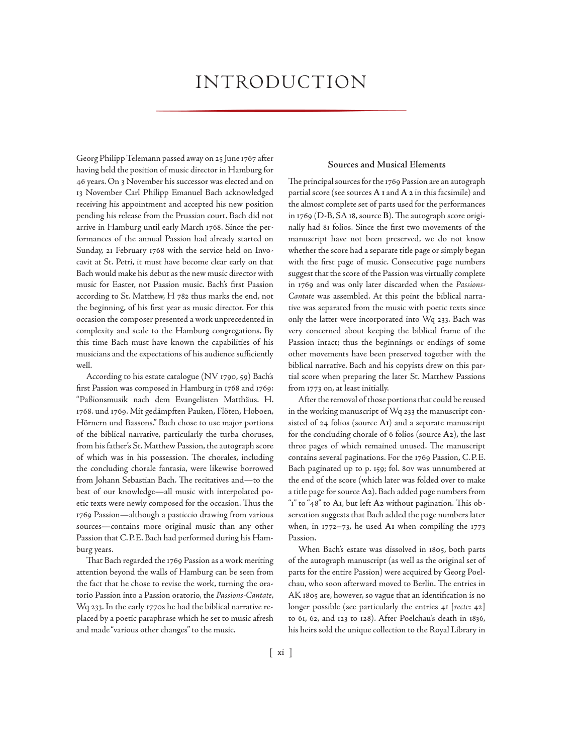# **INTRODUCTION**

Georg Philipp Telemann passed away on 25 June 1767 after having held the position of music director in Hamburg for 46 years. On 3 November his successor was elected and on 13 November Carl Philipp Emanuel Bach acknowledged receiving his appointment and accepted his new position pending his release from the Prussian court. Bach did not arrive in Hamburg until early March 1768. Since the performances of the annual Passion had already started on Sunday, 21 February 1768 with the service held on Invocavit at St. Petri, it must have become clear early on that Bach would make his debut as the new music director with music for Easter, not Passion music. Bach's first Passion according to St. Matthew, H 782 thus marks the end, not the beginning, of his first year as music director. For this occasion the composer presented a work unprecedented in complexity and scale to the Hamburg congregations. By this time Bach must have known the capabilities of his musicians and the expectations of his audience sufficiently well.

According to his estate catalogue (NV 1790, 59) Bach's first Passion was composed in Hamburg in 1768 and 1769: "Paßionsmusik nach dem Evangelisten Matthäus. H. 1768. und 1769. Mit gedämpften Pauken, Flöten, Hoboen, Hörnern und Bassons." Bach chose to use major portions of the biblical narrative, particularly the turba choruses, from his father's St. Matthew Passion, the autograph score of which was in his possession. The chorales, including the concluding chorale fantasia, were likewise borrowed from Johann Sebastian Bach. The recitatives and—to the best of our knowledge—all music with interpolated poetic texts were newly composed for the occasion. Thus the 1769 Passion—although a pasticcio drawing from various sources—contains more original music than any other Passion that C.P.E. Bach had performed during his Hamburg years.

That Bach regarded the 1769 Passion as a work meriting attention beyond the walls of Hamburg can be seen from the fact that he chose to revise the work, turning the oratorio Passion into a Passion oratorio, the *Passions-Cantate*, Wq 233. In the early 1770s he had the biblical narrative replaced by a poetic paraphrase which he set to music afresh and made "various other changes" to the music.

#### **Sources and Musical Elements**

The principal sources for the 1769 Passion are an autograph partial score (see sources **A 1** and **A 2** in this facsimile) and the almost complete set of parts used for the performances in 1769 (D-B, SA 18, source **B**). The autograph score originally had 81 folios. Since the first two movements of the manuscript have not been preserved, we do not know whether the score had a separate title page or simply began with the first page of music. Consecutive page numbers suggest that the score of the Passion was virtually complete in 1769 and was only later discarded when the *Passions-Cantate* was assembled. At this point the biblical narrative was separated from the music with poetic texts since only the latter were incorporated into Wq 233. Bach was very concerned about keeping the biblical frame of the Passion intact; thus the beginnings or endings of some other movements have been preserved together with the biblical narrative. Bach and his copyists drew on this partial score when preparing the later St. Matthew Passions from 1773 on, at least initially.

After the removal of those portions that could be reused in the working manuscript of Wq 233 the manuscript consisted of 24 folios (source **A1**) and a separate manuscript for the concluding chorale of 6 folios (source **A2**), the last three pages of which remained unused. The manuscript contains several paginations. For the 1769 Passion, C.P.E. Bach paginated up to p. 159; fol. 80v was unnumbered at the end of the score (which later was folded over to make a title page for source **A2**). Bach added page numbers from "1" to "48" to **A1**, but left **A2** without pagination. This observation suggests that Bach added the page numbers later when, in 1772–73, he used **A1** when compiling the 1773 Passion.

When Bach's estate was dissolved in 1805, both parts of the autograph manuscript (as well as the original set of parts for the entire Passion) were acquired by Georg Poelchau, who soon afterward moved to Berlin. The entries in AK 1805 are, however, so vague that an identification is no longer possible (see particularly the entries 41 [*recte*: 42] to 61, 62, and 123 to 128). After Poelchau's death in 1836, his heirs sold the unique collection to the Royal Library in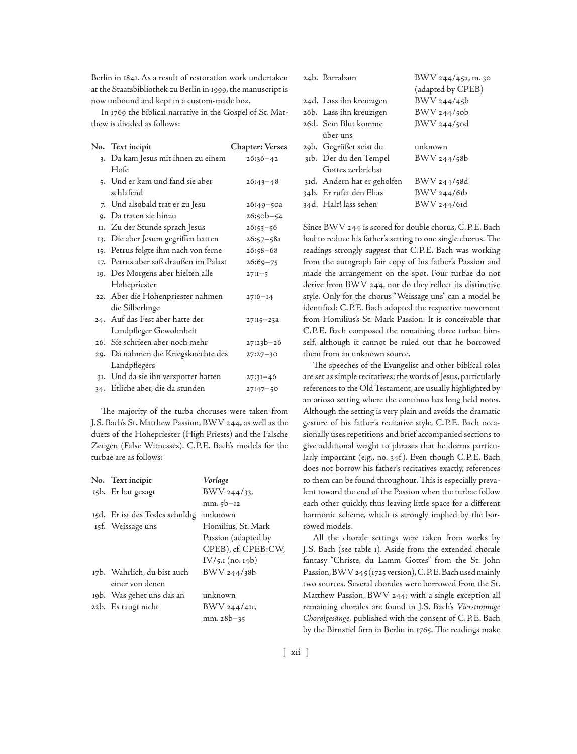Berlin in 1841. As a result of restoration work undertaken at the Staatsbibliothek zu Berlin in 1999, the manuscript is now unbound and kept in a custom-made box.

In 1769 the biblical narrative in the Gospel of St. Matthew is divided as follows:

|     | No. Text incipit                      | <b>Chapter: Verses</b> |
|-----|---------------------------------------|------------------------|
|     | 3. Da kam Jesus mit ihnen zu einem    | $26:36 - 42$           |
|     | Hofe                                  |                        |
|     | 5. Und er kam und fand sie aber       | $26:43 - 48$           |
|     | schlafend                             |                        |
|     | 7. Und alsobald trat er zu Jesu       | $26:49 - 50a$          |
|     | 9. Da traten sie hinzu                | $26:50b - 54$          |
|     | II. Zu der Stunde sprach Jesus        | $26:55 - 56$           |
|     | 13. Die aber Jesum gegriffen hatten   | $26:57 - 58a$          |
| 15. | Petrus folgte ihm nach von ferne      | $26:58 - 68$           |
|     | 17. Petrus aber saß draußen im Palast | $26:69 - 75$           |
|     | 19. Des Morgens aber hielten alle     | $27:I-5$               |
|     | Hohepriester                          |                        |
|     | 22. Aber die Hohenpriester nahmen     | $27:6 - 14$            |
|     | die Silberlinge                       |                        |
|     | 24. Auf das Fest aber hatte der       | $27:15 - 23a$          |
|     | Landpfleger Gewohnheit                |                        |
|     | 26. Sie schrieen aber noch mehr       | $27:23b - 26$          |
|     | 29. Da nahmen die Kriegsknechte des   | $27:27 - 30$           |
|     | Landpflegers                          |                        |
|     | 31. Und da sie ihn verspottet hatten  | $27:31 - 46$           |
|     | 34. Etliche aber, die da stunden      | $27:47 - 50$           |

The majority of the turba choruses were taken from J.S. Bach's St. Matthew Passion, BWV 244, as well as the duets of the Hohepriester (High Priests) and the Falsche Zeugen (False Witnesses). C.P.E. Bach's models for the turbae are as follows:

| No. Text incipit               | Vorlage             |
|--------------------------------|---------------------|
| 15b. Er hat gesagt             | $BWV$ 244/33,       |
|                                | $mn.5b-12$          |
| 15d. Er ist des Todes schuldig | unknown             |
| 15f. Weissage uns              | Homilius, St. Mark  |
|                                | Passion (adapted by |
|                                | CPEB), cf. CPEB:CW, |
|                                | $IV/5.1$ (no. 14b)  |
| 17b. Wahrlich, du bist auch    | BWV 244/38b         |
| einer von denen                |                     |
| 19b. Was gehet uns das an      | unknown             |
| 22b. Es taugt nicht            | BWV 244/41c,        |
|                                | $mm.28b-35$         |

| 24b. Barrabam               | BWV 244/45a, m. 30 |
|-----------------------------|--------------------|
|                             | (adapted by CPEB)  |
| 24d. Lass ihn kreuzigen     | BWV 244/45b        |
| 26b. Lass ihn kreuzigen     | BWV 244/50b        |
| 26d. Sein Blut komme        | BWV 244/50d        |
| über uns                    |                    |
| 29b. Gegrüßet seist du      | unknown            |
| 31b. Der du den Tempel      | BWV 244/58b        |
| Gottes zerbrichst           |                    |
| 31d. Andern hat er geholfen | BWV 244/58d        |
| 34b. Er rufet den Elias     | BWV 244/61b        |
| 34d. Halt! lass sehen       | BWV 244/61d        |

Since BWV 244 is scored for double chorus, C.P.E. Bach had to reduce his father's setting to one single chorus. The readings strongly suggest that C.P.E. Bach was working from the autograph fair copy of his father's Passion and made the arrangement on the spot. Four turbae do not derive from BWV 244, nor do they reflect its distinctive style. Only for the chorus "Weissage uns" can a model be identified: C.P.E. Bach adopted the respective movement from Homilius's St. Mark Passion. It is conceivable that C.P.E. Bach composed the remaining three turbae himself, although it cannot be ruled out that he borrowed them from an unknown source.

The speeches of the Evangelist and other biblical roles are set as simple recitatives; the words of Jesus, particularly references to the Old Testament, are usually highlighted by an arioso setting where the continuo has long held notes. Although the setting is very plain and avoids the dramatic gesture of his father's recitative style, C.P.E. Bach occasionally uses repetitions and brief accompanied sections to give additional weight to phrases that he deems particularly important (e.g., no. 34f ). Even though C.P.E. Bach does not borrow his father's recitatives exactly, references to them can be found throughout. This is especially prevalent toward the end of the Passion when the turbae follow each other quickly, thus leaving little space for a different harmonic scheme, which is strongly implied by the borrowed models.

All the chorale settings were taken from works by J.S. Bach (see table 1). Aside from the extended chorale fantasy "Christe, du Lamm Gottes" from the St. John Passion, BWV 245 (1725 version), C.P.E. Bach used mainly two sources. Several chorales were borrowed from the St. Matthew Passion, BWV 244; with a single exception all remaining chorales are found in J.S. Bach's *Vierstimmige Choralgesänge,* published with the consent of C.P.E. Bach by the Birnstiel firm in Berlin in 1765. The readings make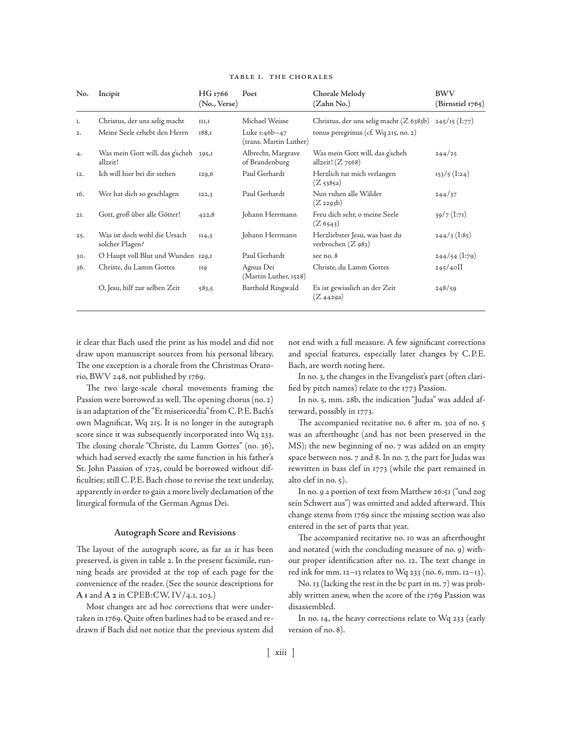| No.   | Incipit                                         | HG 1766<br>(No., Verse) | Poet                                    | Chorale Melody<br>(Zahn No.)                            | <b>BWV</b><br>(Birnstiel 1765) |
|-------|-------------------------------------------------|-------------------------|-----------------------------------------|---------------------------------------------------------|--------------------------------|
| I.    | Christus, der uns selig macht                   | III,I                   | Michael Weisse                          | Christus, der uns selig macht (Z 6383b)                 | $245/15$ (I:77)                |
| 2.    | Meine Seele erhebt den Herrn                    | 188,1                   | Luke 1:46b-47<br>(trans. Martin Luther) | tonus peregrinus (cf. Wq 215, no. 2)                    |                                |
| 4.    | Was mein Gott will, das g'scheh<br>allzeit!     | 395,I                   | Albrecht, Margrave<br>of Brandenburg    | Was mein Gott will, das g'scheh<br>allzeit! $(Z\,7568)$ | 244/25                         |
| 12.   | Ich will hier bei dir stehen                    | 129,6                   | Paul Gerhardt                           | Herzlich tut mich verlangen<br>$(Z_{5385a})$            | $153/5$ (I:24)                 |
| 16.   | Wer hat dich so geschlagen                      | 122,3                   | Paul Gerhardt                           | Nun ruhen alle Wälder<br>$(Z_2293b)$                    | 244/37                         |
| $2I+$ | Gott, groß über alle Götter!                    | 422,8                   | Johann Herrmann                         | Freu dich sehr, o meine Seele<br>(Z 6543)               | $39/7$ (I:71)                  |
| 25.   | Was ist doch wohl die Ursach<br>solcher Plagen? | II4,3                   | Johann Herrmann                         | Herzliebster Jesu, was hast du<br>verbrochen (Z 983)    | $244/3$ (I:85)                 |
| 30.   | O Haupt voll Blut und Wunden 129,1              |                         | Paul Gerhardt                           | see no. 8                                               | $244/54$ (I:79)                |
| 36.   | Christe, du Lamm Gottes                         | <b>II9</b>              | Agnus Dei<br>(Martin Luther, 1528)      | Christe, du Lamm Gottes                                 | $245/40$ II                    |
|       | O, Jesu, hilf zur selben Zeit                   | 583,5                   | Barthold Ringwald                       | Es ist gewisslich an der Zeit<br>(Z 4429a)              | 248/59                         |

#### Table 1. the Chorales

it clear that Bach used the print as his model and did not draw upon manuscript sources from his personal library. The one exception is a chorale from the Christmas Oratorio, BWV 248, not published by 1769.

The two large-scale choral movements framing the Passion were borrowed as well. The opening chorus (no. 2) is an adaptation of the "Et misericordia" from C.P.E. Bach's own Magnificat, Wq 215. It is no longer in the autograph score since it was subsequently incorporated into Wq 233. The closing chorale "Christe, du Lamm Gottes" (no. 36), which had served exactly the same function in his father's St. John Passion of 1725, could be borrowed without difficulties; still C.P.E. Bach chose to revise the text underlay, apparently in order to gain a more lively declamation of the liturgical formula of the German Agnus Dei.

## **Autograph Score and Revisions**

The layout of the autograph score, as far as it has been preserved, is given in table 2. In the present facsimile, running heads are provided at the top of each page for the convenience of the reader. (See the source descriptions for **A 1** and **A 2** in CPEB:CW, IV/4.1, 203.)

Most changes are ad hoc corrections that were undertaken in 1769. Quite often barlines had to be erased and redrawn if Bach did not notice that the previous system did

not end with a full measure. A few significant corrections and special features, especially later changes by C.P.E. Bach, are worth noting here.

In no. 3, the changes in the Evangelist's part (often clarified by pitch names) relate to the 1773 Passion.

In no. 5, mm. 28b, the indication "Judas" was added afterward, possibly in 1773.

The accompanied recitative no. 6 after m. 30a of no. 5 was an afterthought (and has not been preserved in the MS); the new beginning of no. 7 was added on an empty space between nos. 7 and 8. In no. 7, the part for Judas was rewritten in bass clef in 1773 (while the part remained in alto clef in no. 5).

In no. 9 a portion of text from Matthew 26:51 ("und zog sein Schwert aus") was omitted and added afterward. This change stems from 1769 since the missing section was also entered in the set of parts that year.

The accompanied recitative no. 10 was an afterthought and notated (with the concluding measure of no. 9) without proper identification after no. 12. The text change in red ink for mm. 12–13 relates to Wq 233 (no. 6, mm. 12–13).

No. 13 (lacking the rest in the bc part in m. 7) was probably written anew, when the score of the 1769 Passion was disassembled.

In no. 14, the heavy corrections relate to Wq 233 (early version of no. 8).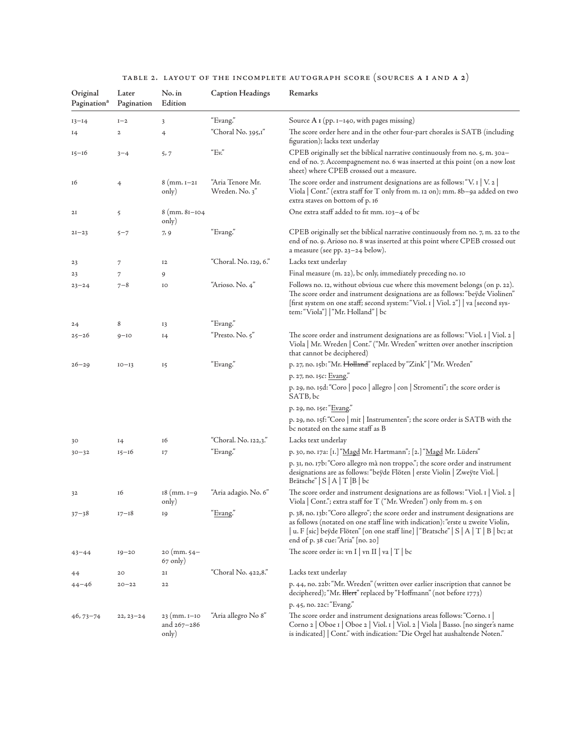|  | TABLE 2. LAYOUT OF THE INCOMPLETE AUTOGRAPH SCORE (SOURCES A I AND A 2) |  |  |
|--|-------------------------------------------------------------------------|--|--|

| Original<br>Pagination <sup>a</sup> | Later<br>Pagination | No. in<br>Edition                            | <b>Caption Headings</b>            | Remarks                                                                                                                                                                                                                                                                                         |
|-------------------------------------|---------------------|----------------------------------------------|------------------------------------|-------------------------------------------------------------------------------------------------------------------------------------------------------------------------------------------------------------------------------------------------------------------------------------------------|
| $13 - 14$                           | $I-2$               | 3                                            | "Evang."                           | Source A I (pp. 1-140, with pages missing)                                                                                                                                                                                                                                                      |
| 14                                  | $\mathbf{2}$        | 4                                            | "Choral No. 395,1"                 | The score order here and in the other four-part chorales is SATB (including<br>figuration); lacks text underlay                                                                                                                                                                                 |
| $15 - 16$                           | $3 - 4$             | 5,7                                          | "Ev."                              | CPEB originally set the biblical narrative continuously from no. 5, m. 30a-<br>end of no. 7. Accompagnement no. 6 was inserted at this point (on a now lost<br>sheet) where CPEB crossed out a measure.                                                                                         |
| 16                                  | $\overline{4}$      | $8 \,(\text{mm. } I - 2I)$<br>only)          | "Aria Tenore Mr.<br>Wreden. No. 3" | The score order and instrument designations are as follows: "V. $\left[ \right.$ V. $\left. \right.2\left. \right]$<br>Viola   Cont." (extra staff for T only from m. 12 on); mm. 8b-9a added on two<br>extra staves on bottom of p. 16                                                         |
| 2I                                  | 5                   | 8 (mm. 81-104<br>only)                       |                                    | One extra staff added to fit mm. 103-4 of bc                                                                                                                                                                                                                                                    |
| $2I - 23$                           | $5 - 7$             | 7, 9                                         | "Evang."                           | CPEB originally set the biblical narrative continuously from no. 7, m. 22 to the<br>end of no. 9. Arioso no. 8 was inserted at this point where CPEB crossed out<br>a measure (see pp. 23–24 below).                                                                                            |
| 23                                  | 7                   | 12                                           | "Choral. No. 129, 6."              | Lacks text underlay                                                                                                                                                                                                                                                                             |
| 23                                  | 7                   | 9                                            |                                    | Final measure (m. 22), bc only, immediately preceding no. 10                                                                                                                                                                                                                                    |
| $23 - 24$                           | $7 - 8$             | IO                                           | "Arioso. No. 4"                    | Follows no. 12, without obvious cue where this movement belongs (on p. 22).<br>The score order and instrument designations are as follows: "beyde Violinen"<br>[first system on one staff; second system: "Viol. 1   Viol. 2"]   va [second sys-<br>tem: "Viola"]   "Mr. Holland"   bc          |
| 24                                  | 8                   | 13                                           | "Evang."                           |                                                                                                                                                                                                                                                                                                 |
| $25 - 26$                           | $9 - 10$            | 14                                           | "Presto. No. 5"                    | The score order and instrument designations are as follows: "Viol. 1   Viol. 2  <br>Viola   Mr. Wreden   Cont." ("Mr. Wreden" written over another inscription<br>that cannot be deciphered)                                                                                                    |
| $26 - 29$                           | $IO - I3$           | 15                                           | "Evang."                           | p. 27, no. 15b: "Mr. Holland" replaced by "Zink"   "Mr. Wreden"                                                                                                                                                                                                                                 |
|                                     |                     |                                              |                                    | p. 27, no. 15c: Evang."                                                                                                                                                                                                                                                                         |
|                                     |                     |                                              |                                    | p. 29, no. 15d: "Coro   poco   allegro   con   Stromenti"; the score order is<br>SATB, bc                                                                                                                                                                                                       |
|                                     |                     |                                              |                                    | p. 29, no. 15e: "Evang."                                                                                                                                                                                                                                                                        |
|                                     |                     |                                              |                                    | p. 29, no. 15f: "Coro   mit   Instrumenten"; the score order is SATB with the<br>bc notated on the same staff as B                                                                                                                                                                              |
| 30                                  | 14                  | 16                                           | "Choral. No. 122,3."               | Lacks text underlay                                                                                                                                                                                                                                                                             |
| $30 - 32$                           | $15 - 16$           | 17                                           | "Evang."                           | p. 30, no. 17a: [1.] "Magd Mr. Hartmann"; [2.] "Magd Mr. Lüders"                                                                                                                                                                                                                                |
|                                     |                     |                                              |                                    | p. 31, no. 17b: "Coro allegro mà non troppo."; the score order and instrument<br>designations are as follows: "beyde Flöten   erste Violin   Zweyte Viol.  <br>Brätsche" $S   A   T   B   bc$                                                                                                   |
| 32                                  | 16                  | $18 \ (mm. 1 - 9)$<br>only)                  | "Aria adagio. No. 6"               | The score order and instrument designations are as follows: "Viol. 1   Viol. 2  <br>Viola   Cont."; extra staff for T ("Mr. Wreden") only from m. 5 on                                                                                                                                          |
| $37 - 38$                           | $17 - 18$           | 19                                           | " <u>Evang</u> ."                  | p. 38, no. 13b: "Coro allegro"; the score order and instrument designations are<br>as follows (notated on one staff line with indication): "erste u zweite Violin,<br>  u. F [sic] beÿde Flöten" [on one staff line]   "Bratsche"   S   A   T   B   bc; at<br>end of p. 38 cue: "Aria" [no. 20] |
| $43 - 44$                           | $19 - 20$           | $20 \, (mm. 54 -$<br>67 only)                |                                    | The score order is: vn I   vn II   va $ T $ bc                                                                                                                                                                                                                                                  |
| 44                                  | 20                  | 2I                                           | "Choral No. 422,8."                | Lacks text underlay                                                                                                                                                                                                                                                                             |
| $44 - 46$                           | $20 - 22$           | 22                                           |                                    | p. 44, no. 22b: "Mr. Wreden" (written over earlier inscription that cannot be<br>deciphered); "Mr. Hert" replaced by "Hoffmann" (not before 1773)                                                                                                                                               |
|                                     |                     |                                              |                                    | p. 45, no. 22c: "Evang."                                                                                                                                                                                                                                                                        |
| $46,73-74$                          | $22, 23 - 24$       | $23$ (mm. $I-IO$<br>and $267 - 286$<br>only) | "Aria allegro No 8"                | The score order and instrument designations areas follows: "Corno. I<br>Corno 2   Oboe 1   Oboe 2   Viol. 1   Viol. 2   Viola   Basso. [no singer's name<br>is indicated]   Cont." with indication: "Die Orgel hat aushaltende Noten."                                                          |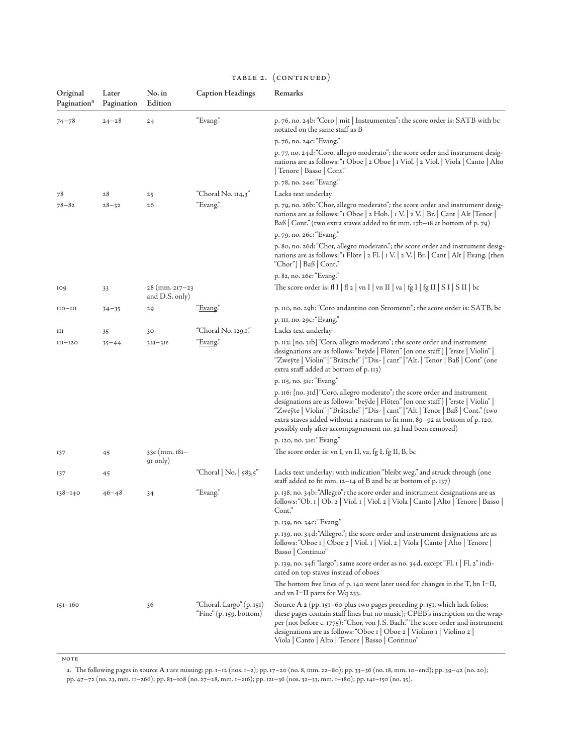| Original<br>Pagination <sup>a</sup> | Later<br>Pagination | No. in<br>Edition                        | <b>Caption Headings</b>                             | Remarks                                                                                                                                                                                                                                                                                                                                                                                           |
|-------------------------------------|---------------------|------------------------------------------|-----------------------------------------------------|---------------------------------------------------------------------------------------------------------------------------------------------------------------------------------------------------------------------------------------------------------------------------------------------------------------------------------------------------------------------------------------------------|
| $74 - 78$                           | $24 - 28$           | 24                                       | "Evang."                                            | p. 76, no. 24b: "Coro   mit   Instrumenten"; the score order is: SATB with bc<br>notated on the same staff as B                                                                                                                                                                                                                                                                                   |
|                                     |                     |                                          |                                                     | p. 76, no. 24c: "Evang."                                                                                                                                                                                                                                                                                                                                                                          |
|                                     |                     |                                          |                                                     | p. 77, no. 24d: "Coro. allegro moderato"; the score order and instrument desig-<br>nations are as follows: "I Oboe   2 Oboe   1 Viol.   2 Viol.   Viola   Canto   Alto<br>  Tenore   Basso   Cont."                                                                                                                                                                                               |
|                                     |                     |                                          |                                                     | p. 78, no. 24e: "Evang."                                                                                                                                                                                                                                                                                                                                                                          |
| 78                                  | 28                  | 25                                       | "Choral No. 114,3"                                  | Lacks text underlay                                                                                                                                                                                                                                                                                                                                                                               |
| $78 - 82$                           | $28 - 32$           | 26                                       | "Evang."                                            | p. 79, no. 26b: "Chor, allegro moderato"; the score order and instrument desig-<br>nations are as follows: "I Oboe   2 Hob.   I V.   2 V.   Br.   Cant   Alt   Tenor  <br>Baß $ $ Cont." (two extra staves added to fit mm. 17b–18 at bottom of p. 79)                                                                                                                                            |
|                                     |                     |                                          |                                                     | p. 79, no. 26c: "Evang."                                                                                                                                                                                                                                                                                                                                                                          |
|                                     |                     |                                          |                                                     | p. 80, no. 26d: "Chor, allegro moderato."; the score order and instrument desig-<br>nations are as follows: "I Flöte   2 Fl.   I V.   2 V.   Br.   Cant   Alt   Evang. [then<br>"Chor"]   Baß   Cont."                                                                                                                                                                                            |
|                                     |                     |                                          |                                                     | p. 82, no. 26e: "Evang."                                                                                                                                                                                                                                                                                                                                                                          |
| 109                                 | 33                  | $28 \, (mm. 217 - 23)$<br>and D.S. only) |                                                     | The score order is: fl I   fl 2   vn I   vn II   va   fg I   fg II   S I   S II   bc                                                                                                                                                                                                                                                                                                              |
| $_{\rm IIO-HII}$                    | $34 - 35$           | 29                                       | " <u>Evang</u> ."                                   | p. 110, no. 29b: "Coro andantino con Stromenti"; the score order is: SATB, bc                                                                                                                                                                                                                                                                                                                     |
|                                     |                     |                                          |                                                     | p. III, no. 29c: "Evang."                                                                                                                                                                                                                                                                                                                                                                         |
| ш                                   | 35                  | 30                                       | "Choral No. 129,1."                                 | Lacks text underlay                                                                                                                                                                                                                                                                                                                                                                               |
| $III-I2O$                           | $35 - 44$           | $3Ia - 3Ie$                              | "Evang."                                            | p. 113: [no. 31b] "Coro, allegro moderato"; the score order and instrument<br>designations are as follows: "beyde   Flöten" [on one staff]   "erste   Violin"  <br>"Zweÿte   Violin"   "Brätsche"   "Dis-   cant"   "Alt.   Tenor   Baß   Cont" (one<br>extra staff added at bottom of p. 113)                                                                                                    |
|                                     |                     |                                          |                                                     | p. 115, no. 31c: "Evang."                                                                                                                                                                                                                                                                                                                                                                         |
|                                     |                     |                                          |                                                     | p. 116: [no. 31d] "Coro, allegro moderato"; the score order and instrument<br>designations are as follows: "beyde   Flöten" [on one staff]   "erste   Violin"  <br>"Zweÿte   Violin"   "Brätsche"   "Dis-   cant"   "Alt   Tenor   Baß   Cont." (two<br>extra staves added without a rastrum to fit mm. 89-92 at bottom of p. 120,<br>possibly only after accompagnement no. 32 had been removed) |
|                                     |                     |                                          |                                                     | p. 120, no. 31e: "Evang."                                                                                                                                                                                                                                                                                                                                                                         |
| 137                                 | 45                  | 33c (mm. 181–<br>91 only)                |                                                     | The score order is: vn I, vn II, va, fg I, fg II, B, bc                                                                                                                                                                                                                                                                                                                                           |
| 137                                 | 45                  |                                          | "Choral   No.   583,5"                              | Lacks text underlay; with indication "bleibt weg." and struck through (one<br>staff added to fit mm. $12-14$ of B and bc at bottom of p. 137)                                                                                                                                                                                                                                                     |
| $138 - 140$                         | $46 - 48$           | 34                                       | "Evang."                                            | p. 138, no. 34b: "Allegro"; the score order and instrument designations are as<br>follows: "Ob. 1   Ob. 2   Viol. 1   Viol. 2   Viola   Canto   Alto   Tenore   Basso  <br>Cont."                                                                                                                                                                                                                 |
|                                     |                     |                                          |                                                     | p. 139, no. 34c: "Evang."                                                                                                                                                                                                                                                                                                                                                                         |
|                                     |                     |                                          |                                                     | p. 139, no. 34d: "Allegro."; the score order and instrument designations are as<br>follows: "Oboe 1   Oboe 2   Viol. 1   Viol. 2   Viola   Canto   Alto   Tenore  <br>Basso   Continuo"                                                                                                                                                                                                           |
|                                     |                     |                                          |                                                     | p. 139, no. 34f: "largo"; same score order as no. 34d, except "Fl. 1   Fl. 2" indi-<br>cated on top staves instead of oboes                                                                                                                                                                                                                                                                       |
|                                     |                     |                                          |                                                     | The bottom five lines of p. 140 were later used for changes in the T, bn I-II,<br>and vn I–II parts for Wq 233.                                                                                                                                                                                                                                                                                   |
| $151 - 160$                         |                     | 36                                       | "Choral. Largo" (p. 151)<br>"Fine" (p. 159, bottom) | Source A 2 (pp. 151-60 plus two pages preceding p. 151, which lack folios;<br>these pages contain staff lines but no music); CPEB's inscription on the wrap-<br>per (not before c. 1775): "Chor, von J.S. Bach." The score order and instrument<br>designations are as follows: "Oboe 1   Oboe 2   Violino 1   Violino 2  <br>Viola   Canto   Alto   Tenore   Basso   Continuo"                   |

# TABLE 2. (CONTINUED)

 $NOTE$ 

a. The following pages in source **A 1** are missing: pp. 1–12 (nos. 1–2); pp. 17–20 (no. 8, mm. 22–80); pp. 33–36 (no. 18, mm. 10–end); pp. 39–42 (no. 20); pp. 47–72 (no. 23, mm. 11–266); pp. 83–108 (no. 27–28, mm. 1–216); pp. 121–36 (nos. 32–33, mm. 1–180); pp. 141–150 (no. 35).